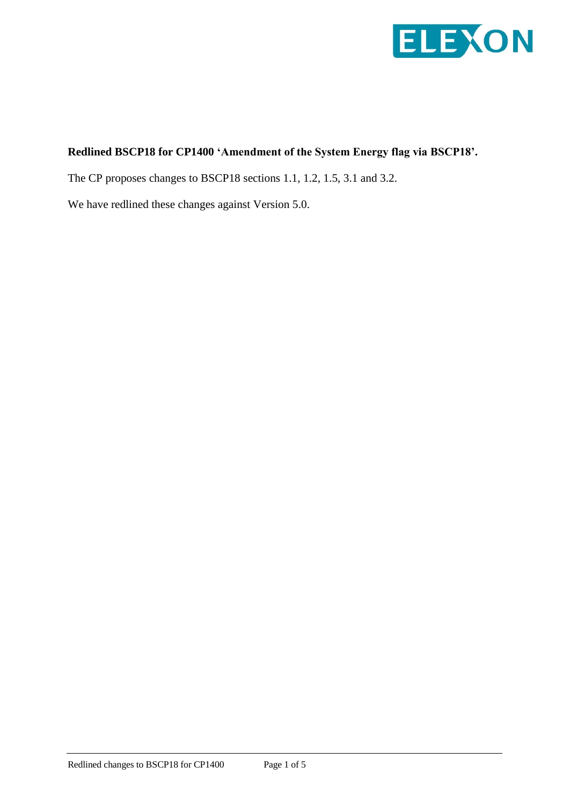

# **Redlined BSCP18 for CP1400 'Amendment of the System Energy flag via BSCP18'.**

The CP proposes changes to BSCP18 sections 1.1, 1.2, 1.5, 3.1 and 3.2.

We have redlined these changes against Version 5.0.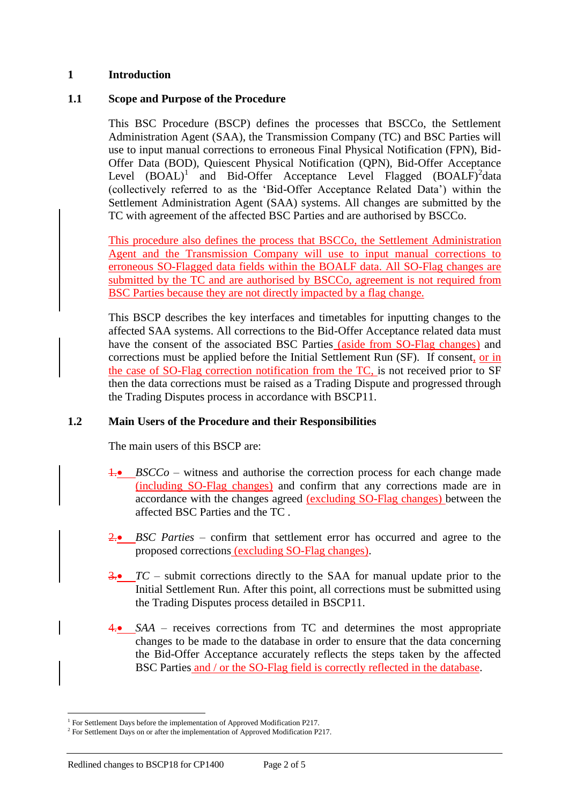### **1 Introduction**

### **1.1 Scope and Purpose of the Procedure**

This BSC Procedure (BSCP) defines the processes that BSCCo, the Settlement Administration Agent (SAA), the Transmission Company (TC) and BSC Parties will use to input manual corrections to erroneous Final Physical Notification (FPN), Bid-Offer Data (BOD), Quiescent Physical Notification (QPN), Bid-Offer Acceptance Level  $(BOAL)^1$  and Bid-Offer Acceptance Level Flagged  $(BOALF)^2$ data (collectively referred to as the 'Bid-Offer Acceptance Related Data') within the Settlement Administration Agent (SAA) systems. All changes are submitted by the TC with agreement of the affected BSC Parties and are authorised by BSCCo.

This procedure also defines the process that BSCCo, the Settlement Administration Agent and the Transmission Company will use to input manual corrections to erroneous SO-Flagged data fields within the BOALF data. All SO-Flag changes are submitted by the TC and are authorised by BSCCo, agreement is not required from BSC Parties because they are not directly impacted by a flag change.

This BSCP describes the key interfaces and timetables for inputting changes to the affected SAA systems. All corrections to the Bid-Offer Acceptance related data must have the consent of the associated BSC Parties (aside from SO-Flag changes) and corrections must be applied before the Initial Settlement Run (SF). If consent, or in the case of SO-Flag correction notification from the TC, is not received prior to SF then the data corrections must be raised as a Trading Dispute and progressed through the Trading Disputes process in accordance with BSCP11.

### **1.2 Main Users of the Procedure and their Responsibilities**

The main users of this BSCP are:

- 1. *BSCCo* witness and authorise the correction process for each change made (including SO-Flag changes) and confirm that any corrections made are in accordance with the changes agreed (excluding SO-Flag changes) between the affected BSC Parties and the TC .
- 2. **BSC** Parties confirm that settlement error has occurred and agree to the proposed corrections (excluding SO-Flag changes).
- 3. *TC –* submit corrections directly to the SAA for manual update prior to the Initial Settlement Run. After this point, all corrections must be submitted using the Trading Disputes process detailed in BSCP11.
- 4. *SAA* receives corrections from TC and determines the most appropriate changes to be made to the database in order to ensure that the data concerning the Bid-Offer Acceptance accurately reflects the steps taken by the affected BSC Parties and / or the SO-Flag field is correctly reflected in the database.

 $\overline{a}$ 

<sup>&</sup>lt;sup>1</sup> For Settlement Days before the implementation of Approved Modification P217.

 $2^2$  For Settlement Days on or after the implementation of Approved Modification P217.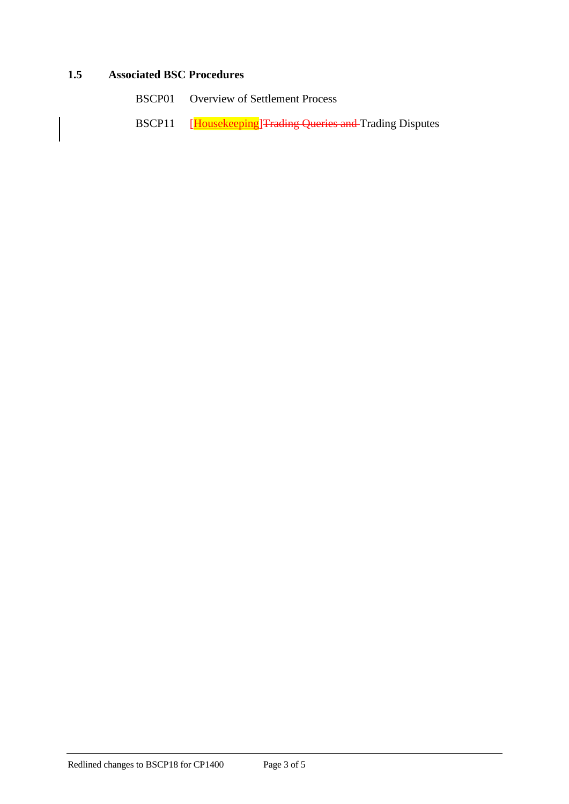### **1.5 Associated BSC Procedures**

- BSCP01 Overview of Settlement Process
- BSCP11 [Housekeeping]Trading Queries and Trading Disputes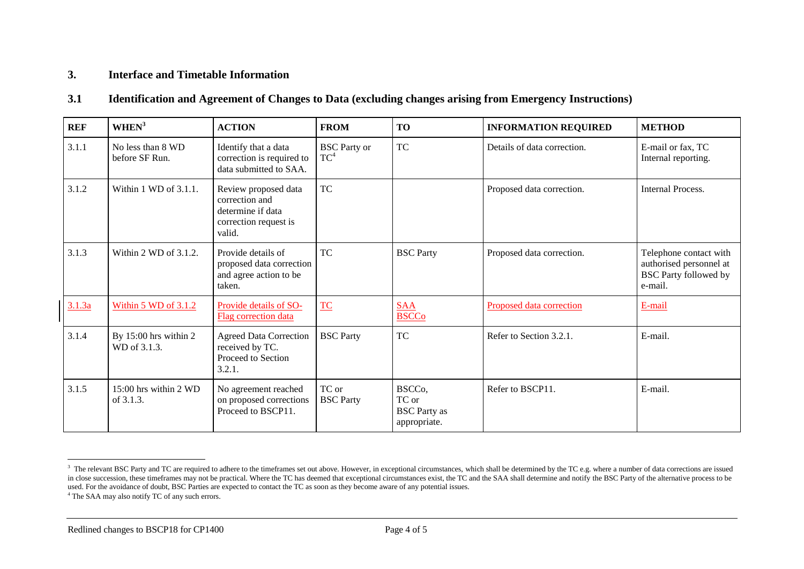### **3. Interface and Timetable Information**

#### **3.1 Identification and Agreement of Changes to Data (excluding changes arising from Emergency Instructions)**

| <b>REF</b> | WHEN <sup>3</sup>                     | <b>ACTION</b>                                                                                  | <b>FROM</b>                   | <b>TO</b>                                                           | <b>INFORMATION REQUIRED</b> | <b>METHOD</b>                                                                                |
|------------|---------------------------------------|------------------------------------------------------------------------------------------------|-------------------------------|---------------------------------------------------------------------|-----------------------------|----------------------------------------------------------------------------------------------|
| 3.1.1      | No less than 8 WD<br>before SF Run.   | Identify that a data<br>correction is required to<br>data submitted to SAA.                    | <b>BSC</b> Party or<br>$TC^4$ | <b>TC</b>                                                           | Details of data correction. | E-mail or fax, TC<br>Internal reporting.                                                     |
| 3.1.2      | Within $1$ WD of $3.1.1$ .            | Review proposed data<br>correction and<br>determine if data<br>correction request is<br>valid. | TC                            |                                                                     | Proposed data correction.   | Internal Process.                                                                            |
| 3.1.3      | Within $2$ WD of $3.1.2$ .            | Provide details of<br>proposed data correction<br>and agree action to be<br>taken.             | TC                            | <b>BSC</b> Party                                                    | Proposed data correction.   | Telephone contact with<br>authorised personnel at<br><b>BSC Party followed by</b><br>e-mail. |
| 3.1.3a     | Within 5 WD of 3.1.2                  | Provide details of SO-<br>Flag correction data                                                 | TC                            | <b>SAA</b><br><b>BSCCo</b>                                          | Proposed data correction    | E-mail                                                                                       |
| 3.1.4      | By 15:00 hrs within 2<br>WD of 3.1.3. | <b>Agreed Data Correction</b><br>received by TC.<br>Proceed to Section<br>3.2.1.               | <b>BSC</b> Party              | <b>TC</b>                                                           | Refer to Section 3.2.1.     | E-mail.                                                                                      |
| 3.1.5      | $15:00$ hrs within 2 WD<br>of 3.1.3.  | No agreement reached<br>on proposed corrections<br>Proceed to BSCP11.                          | TC or<br><b>BSC</b> Party     | BSCC <sub>o</sub> ,<br>TC or<br><b>BSC</b> Party as<br>appropriate. | Refer to BSCP11.            | E-mail.                                                                                      |

1

<sup>&</sup>lt;sup>3</sup> The relevant BSC Party and TC are required to adhere to the timeframes set out above. However, in exceptional circumstances, which shall be determined by the TC e.g. where a number of data corrections are issued in close succession, these timeframes may not be practical. Where the TC has deemed that exceptional circumstances exist, the TC and the SAA shall determine and notify the BSC Party of the alternative process to be used. For the avoidance of doubt, BSC Parties are expected to contact the TC as soon as they become aware of any potential issues.

<sup>4</sup> The SAA may also notify TC of any such errors.